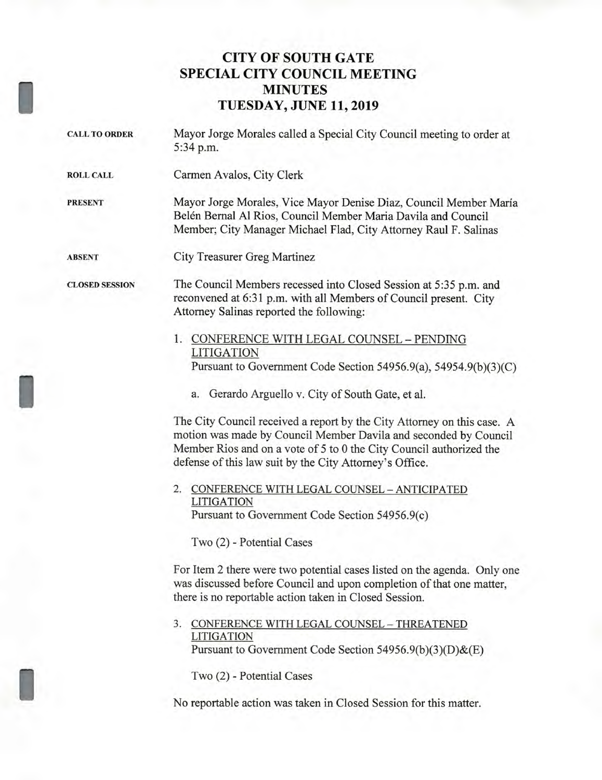## **CITY OF SOUTH GATE SPECIAL CITY COUNCIL MEETING MINUTES TUESDAY, JUNE 11, 2019**

| <b>CALL TO ORDER</b>  | Mayor Jorge Morales called a Special City Council meeting to order at<br>5:34 p.m.                                                                                                                                                                                            |
|-----------------------|-------------------------------------------------------------------------------------------------------------------------------------------------------------------------------------------------------------------------------------------------------------------------------|
| <b>ROLL CALL</b>      | Carmen Avalos, City Clerk                                                                                                                                                                                                                                                     |
| <b>PRESENT</b>        | Mayor Jorge Morales, Vice Mayor Denise Diaz, Council Member María<br>Belén Bernal Al Rios, Council Member Maria Davila and Council<br>Member; City Manager Michael Flad, City Attorney Raul F. Salinas                                                                        |
| <b>ABSENT</b>         | City Treasurer Greg Martinez                                                                                                                                                                                                                                                  |
| <b>CLOSED SESSION</b> | The Council Members recessed into Closed Session at 5:35 p.m. and<br>reconvened at 6:31 p.m. with all Members of Council present. City<br>Attorney Salinas reported the following:                                                                                            |
|                       | 1. CONFERENCE WITH LEGAL COUNSEL - PENDING<br><b>LITIGATION</b>                                                                                                                                                                                                               |
|                       | Pursuant to Government Code Section 54956.9(a), 54954.9(b)(3)(C)                                                                                                                                                                                                              |
|                       | a. Gerardo Arguello v. City of South Gate, et al.                                                                                                                                                                                                                             |
|                       | The City Council received a report by the City Attorney on this case. A<br>motion was made by Council Member Davila and seconded by Council<br>Member Rios and on a vote of 5 to 0 the City Council authorized the<br>defense of this law suit by the City Attorney's Office. |
|                       | 2. CONFERENCE WITH LEGAL COUNSEL - ANTICIPATED                                                                                                                                                                                                                                |
|                       | <b>LITIGATION</b><br>Pursuant to Government Code Section 54956.9(c)                                                                                                                                                                                                           |
|                       | Two (2) - Potential Cases                                                                                                                                                                                                                                                     |
|                       | For Item 2 there were two potential cases listed on the agenda. Only one<br>was discussed before Council and upon completion of that one matter,<br>there is no reportable action taken in Closed Session.                                                                    |
|                       | CONFERENCE WITH LEGAL COUNSEL - THREATENED<br>3.<br><b>LITIGATION</b><br>Pursuant to Government Code Section 54956.9(b)(3)(D)&(E)                                                                                                                                             |
|                       | Two (2) - Potential Cases                                                                                                                                                                                                                                                     |
|                       | No reportable action was taken in Closed Session for this matter.                                                                                                                                                                                                             |

I